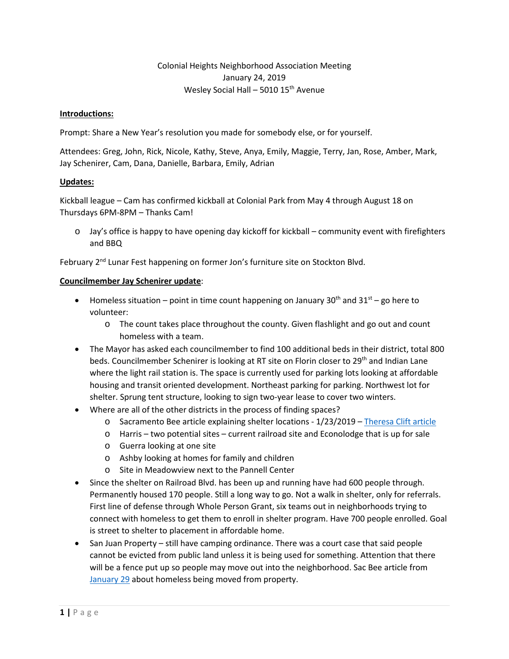# Colonial Heights Neighborhood Association Meeting January 24, 2019 Wesley Social Hall – 5010 15<sup>th</sup> Avenue

#### **Introductions:**

Prompt: Share a New Year's resolution you made for somebody else, or for yourself.

Attendees: Greg, John, Rick, Nicole, Kathy, Steve, Anya, Emily, Maggie, Terry, Jan, Rose, Amber, Mark, Jay Schenirer, Cam, Dana, Danielle, Barbara, Emily, Adrian

#### **Updates:**

Kickball league – Cam has confirmed kickball at Colonial Park from May 4 through August 18 on Thursdays 6PM-8PM – Thanks Cam!

o Jay's office is happy to have opening day kickoff for kickball – community event with firefighters and BBQ

February 2<sup>nd</sup> Lunar Fest happening on former Jon's furniture site on Stockton Blvd.

#### **Councilmember Jay Schenirer update**:

- Homeless situation point in time count happening on January 30<sup>th</sup> and 31<sup>st</sup> go here to volunteer:
	- o The count takes place throughout the county. Given flashlight and go out and count homeless with a team.
- The Mayor has asked each councilmember to find 100 additional beds in their district, total 800 beds. Councilmember Schenirer is looking at RT site on Florin closer to 29<sup>th</sup> and Indian Lane where the light rail station is. The space is currently used for parking lots looking at affordable housing and transit oriented development. Northeast parking for parking. Northwest lot for shelter. Sprung tent structure, looking to sign two-year lease to cover two winters.
- Where are all of the other districts in the process of finding spaces?
	- o Sacramento Bee article explaining shelter locations 1/23/2019 [Theresa Clift article](https://docs.wixstatic.com/ugd/f311f0_6de430c219bc491783d7ed50a8ee2f6a.pdf)
	- o Harris two potential sites current railroad site and Econolodge that is up for sale
	- o Guerra looking at one site
	- o Ashby looking at homes for family and children
	- o Site in Meadowview next to the Pannell Center
- Since the shelter on Railroad Blvd. has been up and running have had 600 people through. Permanently housed 170 people. Still a long way to go. Not a walk in shelter, only for referrals. First line of defense through Whole Person Grant, six teams out in neighborhoods trying to connect with homeless to get them to enroll in shelter program. Have 700 people enrolled. Goal is street to shelter to placement in affordable home.
- San Juan Property still have camping ordinance. There was a court case that said people cannot be evicted from public land unless it is being used for something. Attention that there will be a fence put up so people may move out into the neighborhood. Sac Bee article from [January 29](https://docs.wixstatic.com/ugd/f311f0_efa0e34199c244b6ab4d012b7579a57e.pdf) about homeless being moved from property.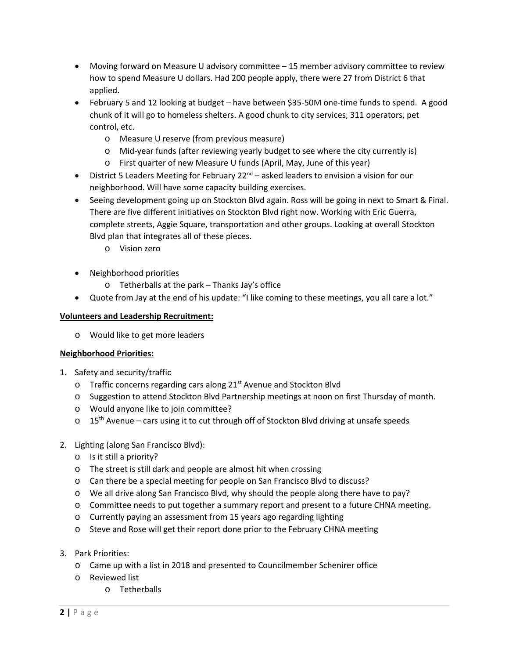- Moving forward on Measure U advisory committee 15 member advisory committee to review how to spend Measure U dollars. Had 200 people apply, there were 27 from District 6 that applied.
- February 5 and 12 looking at budget have between \$35-50M one-time funds to spend. A good chunk of it will go to homeless shelters. A good chunk to city services, 311 operators, pet control, etc.
	- o Measure U reserve (from previous measure)
	- o Mid-year funds (after reviewing yearly budget to see where the city currently is)
	- o First quarter of new Measure U funds (April, May, June of this year)
- District 5 Leaders Meeting for February  $22^{nd}$  asked leaders to envision a vision for our neighborhood. Will have some capacity building exercises.
- Seeing development going up on Stockton Blvd again. Ross will be going in next to Smart & Final. There are five different initiatives on Stockton Blvd right now. Working with Eric Guerra, complete streets, Aggie Square, transportation and other groups. Looking at overall Stockton Blvd plan that integrates all of these pieces.
	- o Vision zero
- Neighborhood priorities
	- o Tetherballs at the park Thanks Jay's office
- Quote from Jay at the end of his update: "I like coming to these meetings, you all care a lot."

## **Volunteers and Leadership Recruitment:**

o Would like to get more leaders

### **Neighborhood Priorities:**

- 1. Safety and security/traffic
	- $\circ$  Traffic concerns regarding cars along 21<sup>st</sup> Avenue and Stockton Blvd
	- o Suggestion to attend Stockton Blvd Partnership meetings at noon on first Thursday of month.
	- o Would anyone like to join committee?
	- $\circ$  15<sup>th</sup> Avenue cars using it to cut through off of Stockton Blvd driving at unsafe speeds

# 2. Lighting (along San Francisco Blvd):

- o Is it still a priority?
- o The street is still dark and people are almost hit when crossing
- o Can there be a special meeting for people on San Francisco Blvd to discuss?
- o We all drive along San Francisco Blvd, why should the people along there have to pay?
- o Committee needs to put together a summary report and present to a future CHNA meeting.
- o Currently paying an assessment from 15 years ago regarding lighting
- o Steve and Rose will get their report done prior to the February CHNA meeting
- 3. Park Priorities:
	- o Came up with a list in 2018 and presented to Councilmember Schenirer office
	- o Reviewed list
		- o Tetherballs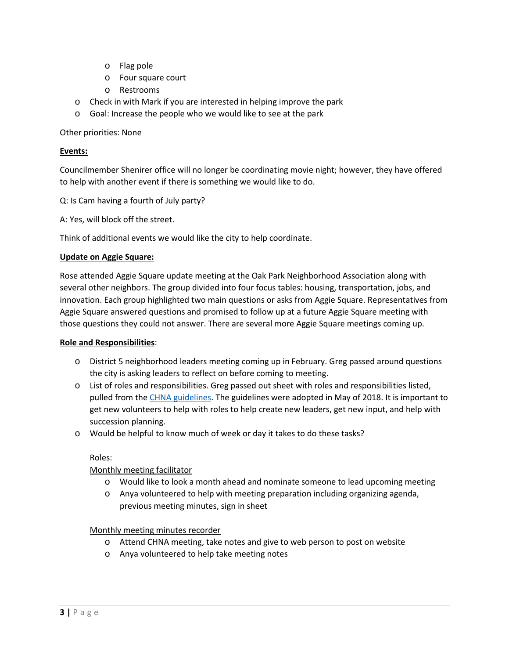- o Flag pole
- o Four square court
- o Restrooms
- o Check in with Mark if you are interested in helping improve the park
- o Goal: Increase the people who we would like to see at the park

Other priorities: None

### **Events:**

Councilmember Shenirer office will no longer be coordinating movie night; however, they have offered to help with another event if there is something we would like to do.

Q: Is Cam having a fourth of July party?

A: Yes, will block off the street.

Think of additional events we would like the city to help coordinate.

### **Update on Aggie Square:**

Rose attended Aggie Square update meeting at the Oak Park Neighborhood Association along with several other neighbors. The group divided into four focus tables: housing, transportation, jobs, and innovation. Each group highlighted two main questions or asks from Aggie Square. Representatives from Aggie Square answered questions and promised to follow up at a future Aggie Square meeting with those questions they could not answer. There are several more Aggie Square meetings coming up.

### **Role and Responsibilities**:

- o District 5 neighborhood leaders meeting coming up in February. Greg passed around questions the city is asking leaders to reflect on before coming to meeting.
- o List of roles and responsibilities. Greg passed out sheet with roles and responsibilities listed, pulled from the [CHNA guidelines.](https://docs.wixstatic.com/ugd/f311f0_3c88ca403a2441379c4156cbf2efa82b.pdf) The guidelines were adopted in May of 2018. It is important to get new volunteers to help with roles to help create new leaders, get new input, and help with succession planning.
- o Would be helpful to know much of week or day it takes to do these tasks?

### Roles:

# Monthly meeting facilitator

- o Would like to look a month ahead and nominate someone to lead upcoming meeting
- o Anya volunteered to help with meeting preparation including organizing agenda, previous meeting minutes, sign in sheet

### Monthly meeting minutes recorder

- o Attend CHNA meeting, take notes and give to web person to post on website
- o Anya volunteered to help take meeting notes